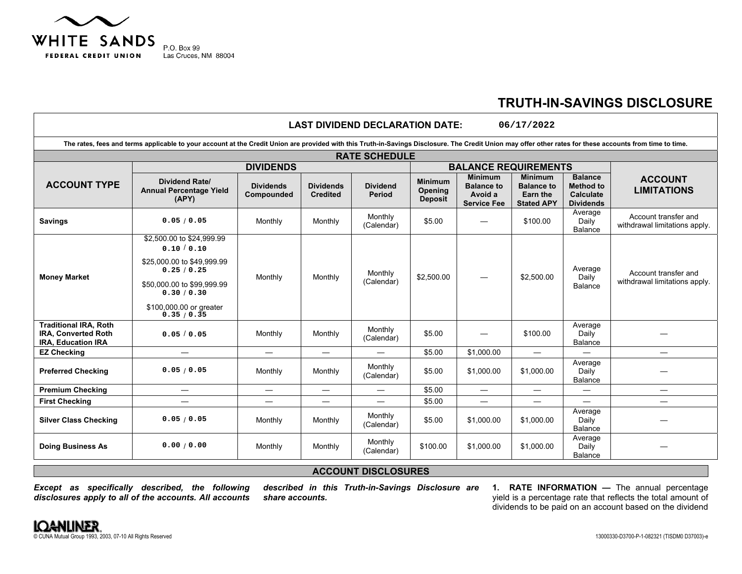

## **TRUTH-IN-SAVINGS DISCLOSURE**

|                                                                                  |                                                                                                                                                                                                           |                                |                                     | <b>LAST DIVIDEND DECLARATION DATE:</b> |                                                    |                                                                      | 06/17/2022                                                           |                                                                     |                                                       |                                                       |  |
|----------------------------------------------------------------------------------|-----------------------------------------------------------------------------------------------------------------------------------------------------------------------------------------------------------|--------------------------------|-------------------------------------|----------------------------------------|----------------------------------------------------|----------------------------------------------------------------------|----------------------------------------------------------------------|---------------------------------------------------------------------|-------------------------------------------------------|-------------------------------------------------------|--|
|                                                                                  | The rates, fees and terms applicable to your account at the Credit Union are provided with this Truth-in-Savings Disclosure. The Credit Union may offer other rates for these accounts from time to time. |                                |                                     |                                        |                                                    |                                                                      |                                                                      |                                                                     |                                                       |                                                       |  |
|                                                                                  |                                                                                                                                                                                                           |                                |                                     | <b>RATE SCHEDULE</b>                   |                                                    |                                                                      |                                                                      |                                                                     |                                                       |                                                       |  |
|                                                                                  | <b>DIVIDENDS</b>                                                                                                                                                                                          |                                |                                     |                                        |                                                    | <b>BALANCE REQUIREMENTS</b>                                          |                                                                      |                                                                     |                                                       |                                                       |  |
| <b>ACCOUNT TYPE</b>                                                              | Dividend Rate/<br><b>Annual Percentage Yield</b><br>(APY)                                                                                                                                                 | <b>Dividends</b><br>Compounded | <b>Dividends</b><br><b>Credited</b> | <b>Dividend</b><br><b>Period</b>       | <b>Minimum</b><br><b>Opening</b><br><b>Deposit</b> | <b>Minimum</b><br><b>Balance to</b><br>Avoid a<br><b>Service Fee</b> | <b>Minimum</b><br><b>Balance to</b><br>Earn the<br><b>Stated APY</b> | <b>Balance</b><br><b>Method to</b><br>Calculate<br><b>Dividends</b> | <b>ACCOUNT</b><br><b>LIMITATIONS</b>                  |                                                       |  |
| <b>Savings</b>                                                                   | 0.05 / 0.05                                                                                                                                                                                               | Monthly                        | Monthly                             | Monthly<br>(Calendar)                  | \$5.00                                             |                                                                      | \$100.00                                                             | Average<br>Daily<br>Balance                                         | Account transfer and<br>withdrawal limitations apply. |                                                       |  |
| <b>Money Market</b>                                                              | \$2,500.00 to \$24,999.99<br>0.10 / 0.10<br>\$25,000.00 to \$49,999.99<br>0.25/0.25<br>\$50,000.00 to \$99,999.99<br>0.30 / 0.30                                                                          | Monthly                        | Monthly                             | Monthly<br>(Calendar)                  |                                                    | \$2,500.00                                                           |                                                                      | \$2,500.00                                                          | Average<br>Daily<br>Balance                           | Account transfer and<br>withdrawal limitations apply. |  |
|                                                                                  | \$100,000.00 or greater<br>0.35 / 0.35                                                                                                                                                                    |                                |                                     |                                        |                                                    |                                                                      |                                                                      |                                                                     |                                                       |                                                       |  |
| <b>Traditional IRA, Roth</b><br><b>IRA, Converted Roth</b><br>IRA, Education IRA | 0.05/0.05                                                                                                                                                                                                 | Monthly                        | Monthly                             | Monthly<br>(Calendar)                  | \$5.00                                             |                                                                      | \$100.00                                                             | Average<br>Daily<br><b>Balance</b>                                  |                                                       |                                                       |  |
| <b>EZ Checking</b>                                                               |                                                                                                                                                                                                           |                                |                                     |                                        | \$5.00                                             | \$1.000.00                                                           | $\overline{\phantom{0}}$                                             |                                                                     |                                                       |                                                       |  |
| <b>Preferred Checking</b>                                                        | 0.05 / 0.05                                                                                                                                                                                               | Monthly                        | Monthly                             | Monthly<br>(Calendar)                  | \$5.00                                             | \$1,000.00                                                           | \$1,000.00                                                           | Average<br>Daily<br><b>Balance</b>                                  |                                                       |                                                       |  |
| <b>Premium Checking</b>                                                          | $\overline{\phantom{0}}$                                                                                                                                                                                  | $\qquad \qquad$                |                                     |                                        | \$5.00                                             | $\overline{\phantom{0}}$                                             | $\overline{\phantom{0}}$                                             | $\overline{\phantom{0}}$                                            |                                                       |                                                       |  |
| <b>First Checking</b>                                                            | $\overline{\phantom{0}}$                                                                                                                                                                                  | $\overline{\phantom{0}}$       |                                     |                                        | \$5.00                                             | $\overline{\phantom{0}}$                                             |                                                                      | $\overline{\phantom{0}}$                                            |                                                       |                                                       |  |
| <b>Silver Class Checking</b>                                                     | 0.05/0.05                                                                                                                                                                                                 | Monthly                        | Monthly                             | Monthly<br>(Calendar)                  | \$5.00                                             | \$1,000.00                                                           | \$1,000.00                                                           | Average<br>Daily<br>Balance                                         |                                                       |                                                       |  |
| <b>Doing Business As</b>                                                         | 0.00 / 0.00                                                                                                                                                                                               | Monthly                        | Monthly                             | Monthly<br>(Calendar)                  | \$100.00                                           | \$1,000.00                                                           | \$1,000.00                                                           | Average<br>Daily<br><b>Balance</b>                                  |                                                       |                                                       |  |

## **ACCOUNT DISCLOSURES**

*Except as specifically described, the following disclosures apply to all of the accounts. All accounts*  *described in this Truth-in-Savings Disclosure are share accounts.* 

**1. RATE INFORMATION —** The annual percentage yield is a percentage rate that reflects the total amount of dividends to be paid on an account based on the dividend

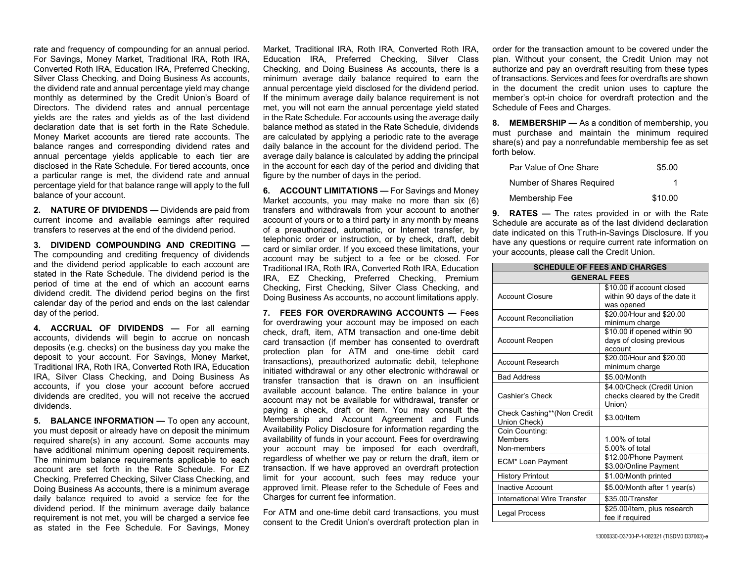rate and frequency of compounding for an annual period. For Savings, Money Market, Traditional IRA, Roth IRA, Converted Roth IRA, Education IRA, Preferred Checking, Silver Class Checking, and Doing Business As accounts, the dividend rate and annual percentage yield may change monthly as determined by the Credit Union's Board of Directors. The dividend rates and annual percentage yields are the rates and yields as of the last dividend declaration date that is set forth in the Rate Schedule. Money Market accounts are tiered rate accounts. The balance ranges and corresponding dividend rates and annual percentage yields applicable to each tier are disclosed in the Rate Schedule. For tiered accounts, once a particular range is met, the dividend rate and annual percentage yield for that balance range will apply to the full balance of your account.

**2. NATURE OF DIVIDENDS —** Dividends are paid from current income and available earnings after required transfers to reserves at the end of the dividend period.

**3. DIVIDEND COMPOUNDING AND CREDITING —**The compounding and crediting frequency of dividends and the dividend period applicable to each account are stated in the Rate Schedule. The dividend period is the period of time at the end of which an account earns dividend credit. The dividend period begins on the first calendar day of the period and ends on the last calendar day of the period.

**4. ACCRUAL OF DIVIDENDS —** For all earning accounts, dividends will begin to accrue on noncash deposits (e.g. checks) on the business day you make the deposit to your account. For Savings, Money Market, Traditional IRA, Roth IRA, Converted Roth IRA, Education IRA, Silver Class Checking, and Doing Business As accounts, if you close your account before accrued dividends are credited, you will not receive the accrued dividends.

**5. BALANCE INFORMATION —** To open any account, you must deposit or already have on deposit the minimum required share(s) in any account. Some accounts may have additional minimum opening deposit requirements. The minimum balance requirements applicable to each account are set forth in the Rate Schedule. For EZ Checking, Preferred Checking, Silver Class Checking, and Doing Business As accounts, there is a minimum average daily balance required to avoid a service fee for the dividend period. If the minimum average daily balance requirement is not met, you will be charged a service fee as stated in the Fee Schedule. For Savings, Money

Market, Traditional IRA, Roth IRA, Converted Roth IRA, Education IRA, Preferred Checking, Silver Class Checking, and Doing Business As accounts, there is a minimum average daily balance required to earn the annual percentage yield disclosed for the dividend period. If the minimum average daily balance requirement is not met, you will not earn the annual percentage yield stated in the Rate Schedule. For accounts using the average daily balance method as stated in the Rate Schedule, dividends are calculated by applying a periodic rate to the average daily balance in the account for the dividend period. The average daily balance is calculated by adding the principal in the account for each day of the period and dividing that figure by the number of days in the period.

**6. ACCOUNT LIMITATIONS — For Savings and Money** Market accounts, you may make no more than six (6) transfers and withdrawals from your account to another account of yours or to a third party in any month by means of a preauthorized, automatic, or Internet transfer, by telephonic order or instruction, or by check, draft, debit card or similar order. If you exceed these limitations, your account may be subject to a fee or be closed. For Traditional IRA, Roth IRA, Converted Roth IRA, Education IRA, EZ Checking, Preferred Checking, Premium Checking, First Checking, Silver Class Checking, and Doing Business As accounts, no account limitations apply.

**7. FEES FOR OVERDRAWING ACCOUNTS —** Fees for overdrawing your account may be imposed on each check, draft, item, ATM transaction and one-time debit card transaction (if member has consented to overdraft protection plan for ATM and one-time debit card transactions), preauthorized automatic debit, telephone initiated withdrawal or any other electronic withdrawal or transfer transaction that is drawn on an insufficient available account balance. The entire balance in your account may not be available for withdrawal, transfer or paying a check, draft or item. You may consult the Membership and Account Agreement and Funds Availability Policy Disclosure for information regarding the availability of funds in your account. Fees for overdrawing your account may be imposed for each overdraft, regardless of whether we pay or return the draft, item or transaction. If we have approved an overdraft protection limit for your account, such fees may reduce your approved limit. Please refer to the Schedule of Fees and Charges for current fee information.

For ATM and one-time debit card transactions, you must consent to the Credit Union's overdraft protection plan in order for the transaction amount to be covered under the plan. Without your consent, the Credit Union may not authorize and pay an overdraft resulting from these types of transactions. Services and fees for overdrafts are shown in the document the credit union uses to capture the member's opt-in choice for overdraft protection and the Schedule of Fees and Charges.

**8. MEMBERSHIP —** As a condition of membership, you must purchase and maintain the minimum required share(s) and pay a nonrefundable membership fee as set forth below.

| Par Value of One Share    | \$5.00  |
|---------------------------|---------|
| Number of Shares Required |         |
| Membership Fee            | \$10.00 |

**9. RATES —** The rates provided in or with the Rate Schedule are accurate as of the last dividend declaration date indicated on this Truth-in-Savings Disclosure. If you have any questions or require current rate information on your accounts, please call the Credit Union.

| <b>SCHEDULE OF FEES AND CHARGES</b>             |                                                                          |  |  |  |  |
|-------------------------------------------------|--------------------------------------------------------------------------|--|--|--|--|
|                                                 | <b>GENERAL FEES</b>                                                      |  |  |  |  |
| <b>Account Closure</b>                          | \$10.00 if account closed<br>within 90 days of the date it<br>was opened |  |  |  |  |
| <b>Account Reconciliation</b>                   | \$20.00/Hour and \$20.00<br>minimum charge                               |  |  |  |  |
| <b>Account Reopen</b>                           | \$10.00 if opened within 90<br>days of closing previous<br>account       |  |  |  |  |
| <b>Account Research</b>                         | \$20.00/Hour and \$20.00<br>minimum charge                               |  |  |  |  |
| <b>Bad Address</b>                              | \$5.00/Month                                                             |  |  |  |  |
| Cashier's Check                                 | \$4.00/Check (Credit Union<br>checks cleared by the Credit<br>Union)     |  |  |  |  |
| Check Cashing**(Non Credit<br>Union Check)      | \$3.00/Item                                                              |  |  |  |  |
| Coin Counting:<br><b>Members</b><br>Non-members | $1.00\%$ of total<br>5.00% of total                                      |  |  |  |  |
| ECM* Loan Payment                               | \$12.00/Phone Payment<br>\$3.00/Online Payment                           |  |  |  |  |
| <b>History Printout</b>                         | \$1.00/Month printed                                                     |  |  |  |  |
| <b>Inactive Account</b>                         | \$5.00/Month after 1 year(s)                                             |  |  |  |  |
| <b>International Wire Transfer</b>              | \$35.00/Transfer                                                         |  |  |  |  |
| Legal Process                                   | \$25.00/Item, plus research<br>fee if reauired                           |  |  |  |  |

13000330-D3700-P-1-082321 (TISDM0 D37003)-e